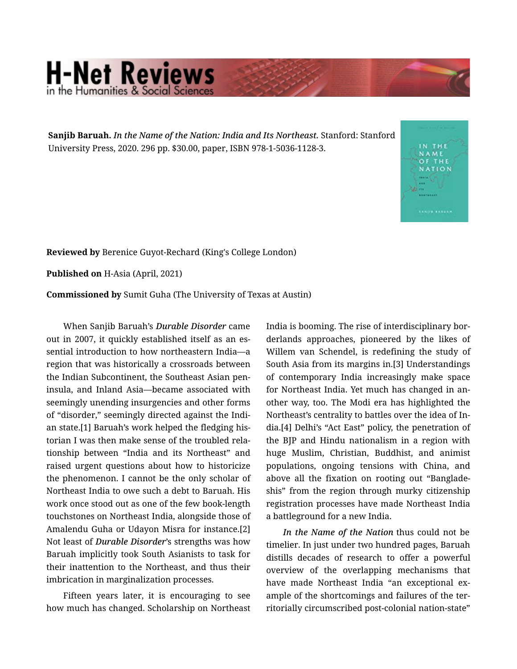## **H-Net Reviews** in the Humanities & Social Scie

**Sanjib Baruah.** *In the Name of the Nation: India and Its Northeast.* Stanford: Stanford University Press, 2020. 296 pp. \$30.00, paper, ISBN 978-1-5036-1128-3.

**Reviewed by** Berenice Guyot-Rechard (King's College London)

**Published on** H-Asia (April, 2021)

**Commissioned by** Sumit Guha (The University of Texas at Austin)

When Sanjib Baruah's *Durable Disorder* came out in 2007, it quickly established itself as an es‐ sential introduction to how northeastern India—a region that was historically a crossroads between the Indian Subcontinent, the Southeast Asian pen‐ insula, and Inland Asia—became associated with seemingly unending insurgencies and other forms of "disorder," seemingly directed against the Indi‐ an state.[1] Baruah's work helped the fledging his‐ torian I was then make sense of the troubled rela‐ tionship between "India and its Northeast" and raised urgent questions about how to historicize the phenomenon. I cannot be the only scholar of Northeast India to owe such a debt to Baruah. His work once stood out as one of the few book-length touchstones on Northeast India, alongside those of Amalendu Guha or Udayon Misra for instance.[2] Not least of *Durable Disorder*'s strengths was how Baruah implicitly took South Asianists to task for their inattention to the Northeast, and thus their imbrication in marginalization processes.

Fifteen years later, it is encouraging to see how much has changed. Scholarship on Northeast India is booming. The rise of interdisciplinary bor‐ derlands approaches, pioneered by the likes of Willem van Schendel, is redefining the study of South Asia from its margins in.[3] Understandings of contemporary India increasingly make space for Northeast India. Yet much has changed in an‐ other way, too. The Modi era has highlighted the Northeast's centrality to battles over the idea of In‐ dia.[4] Delhi's "Act East" policy, the penetration of the BJP and Hindu nationalism in a region with huge Muslim, Christian, Buddhist, and animist populations, ongoing tensions with China, and above all the fixation on rooting out "Banglade‐ shis" from the region through murky citizenship registration processes have made Northeast India a battleground for a new India.

*In the Name of the Nation* thus could not be timelier. In just under two hundred pages, Baruah distills decades of research to offer a powerful overview of the overlapping mechanisms that have made Northeast India "an exceptional ex‐ ample of the shortcomings and failures of the territorially circumscribed post-colonial nation-state"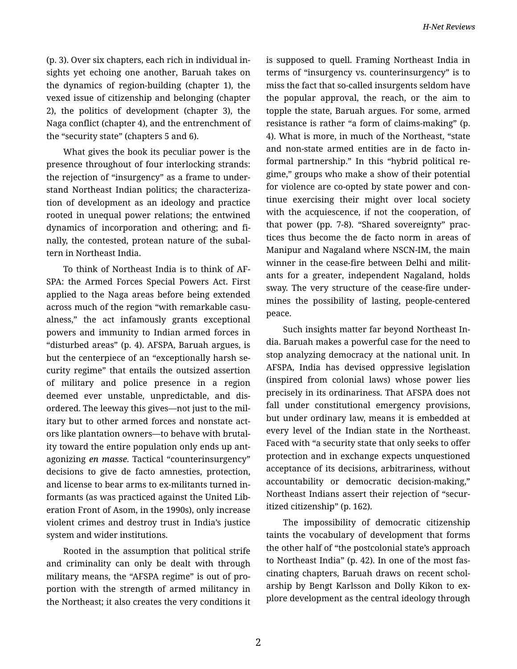(p. 3). Over six chapters, each rich in individual in‐ sights yet echoing one another, Baruah takes on the dynamics of region-building (chapter 1), the vexed issue of citizenship and belonging (chapter 2), the politics of development (chapter 3), the Naga conflict (chapter 4), and the entrenchment of the "security state" (chapters 5 and 6).

What gives the book its peculiar power is the presence throughout of four interlocking strands: the rejection of "insurgency" as a frame to under‐ stand Northeast Indian politics; the characteriza‐ tion of development as an ideology and practice rooted in unequal power relations; the entwined dynamics of incorporation and othering; and fi‐ nally, the contested, protean nature of the subal‐ tern in Northeast India.

To think of Northeast India is to think of AF‐ SPA: the Armed Forces Special Powers Act. First applied to the Naga areas before being extended across much of the region "with remarkable casu‐ alness," the act infamously grants exceptional powers and immunity to Indian armed forces in "disturbed areas" (p. 4). AFSPA, Baruah argues, is but the centerpiece of an "exceptionally harsh security regime" that entails the outsized assertion of military and police presence in a region deemed ever unstable, unpredictable, and dis‐ ordered. The leeway this gives—not just to the mil‐ itary but to other armed forces and nonstate act‐ ors like plantation owners—to behave with brutal‐ ity toward the entire population only ends up ant‐ agonizing *en masse*. Tactical "counterinsurgency" decisions to give de facto amnesties, protection, and license to bear arms to ex-militants turned in‐ formants (as was practiced against the United Lib‐ eration Front of Asom, in the 1990s), only increase violent crimes and destroy trust in India's justice system and wider institutions.

Rooted in the assumption that political strife and criminality can only be dealt with through military means, the "AFSPA regime" is out of pro‐ portion with the strength of armed militancy in the Northeast; it also creates the very conditions it is supposed to quell. Framing Northeast India in terms of "insurgency vs. counterinsurgency" is to miss the fact that so-called insurgents seldom have the popular approval, the reach, or the aim to topple the state, Baruah argues. For some, armed resistance is rather "a form of claims-making" (p. 4). What is more, in much of the Northeast, "state and non-state armed entities are in de facto in‐ formal partnership." In this "hybrid political re‐ gime," groups who make a show of their potential for violence are co-opted by state power and con‐ tinue exercising their might over local society with the acquiescence, if not the cooperation, of that power (pp. 7-8). "Shared sovereignty" prac‐ tices thus become the de facto norm in areas of Manipur and Nagaland where NSCN-IM, the main winner in the cease-fire between Delhi and militants for a greater, independent Nagaland, holds sway. The very structure of the cease-fire under‐ mines the possibility of lasting, people-centered peace.

Such insights matter far beyond Northeast In‐ dia. Baruah makes a powerful case for the need to stop analyzing democracy at the national unit. In AFSPA, India has devised oppressive legislation (inspired from colonial laws) whose power lies precisely in its ordinariness. That AFSPA does not fall under constitutional emergency provisions, but under ordinary law, means it is embedded at every level of the Indian state in the Northeast. Faced with "a security state that only seeks to offer protection and in exchange expects unquestioned acceptance of its decisions, arbitrariness, without accountability or democratic decision-making," Northeast Indians assert their rejection of "secur‐ itized citizenship" (p. 162).

The impossibility of democratic citizenship taints the vocabulary of development that forms the other half of "the postcolonial state's approach to Northeast India" (p. 42). In one of the most fas‐ cinating chapters, Baruah draws on recent schol‐ arship by Bengt Karlsson and Dolly Kikon to ex‐ plore development as the central ideology through

2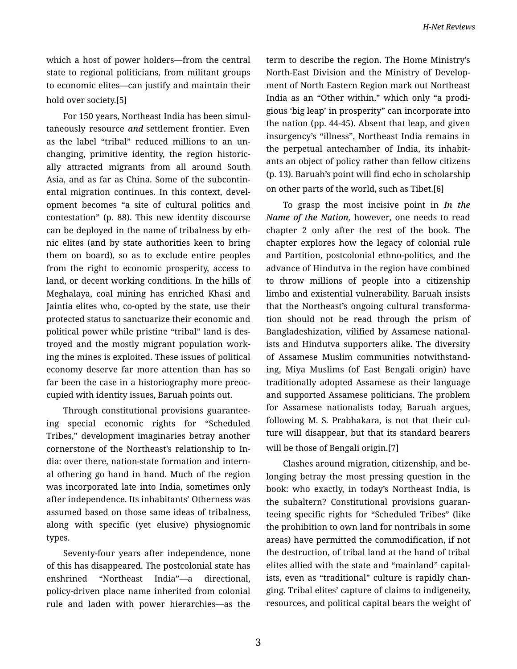which a host of power holders—from the central state to regional politicians, from militant groups to economic elites—can justify and maintain their hold over society.[5]

For 150 years, Northeast India has been simul‐ taneously resource *and* settlement frontier. Even as the label "tribal" reduced millions to an un‐ changing, primitive identity, the region historic‐ ally attracted migrants from all around South Asia, and as far as China. Some of the subcontin‐ ental migration continues. In this context, development becomes "a site of cultural politics and contestation" (p. 88). This new identity discourse can be deployed in the name of tribalness by eth‐ nic elites (and by state authorities keen to bring them on board), so as to exclude entire peoples from the right to economic prosperity, access to land, or decent working conditions. In the hills of Meghalaya, coal mining has enriched Khasi and Jaintia elites who, co-opted by the state, use their protected status to sanctuarize their economic and political power while pristine "tribal" land is des‐ troyed and the mostly migrant population work‐ ing the mines is exploited. These issues of political economy deserve far more attention than has so far been the case in a historiography more preoc‐ cupied with identity issues, Baruah points out.

Through constitutional provisions guarantee‐ ing special economic rights for "Scheduled Tribes," development imaginaries betray another cornerstone of the Northeast's relationship to In‐ dia: over there, nation-state formation and intern‐ al othering go hand in hand. Much of the region was incorporated late into India, sometimes only after independence. Its inhabitants' Otherness was assumed based on those same ideas of tribalness, along with specific (yet elusive) physiognomic types.

Seventy-four years after independence, none of this has disappeared. The postcolonial state has enshrined "Northeast India"—a directional, policy-driven place name inherited from colonial rule and laden with power hierarchies—as the term to describe the region. The Home Ministry's North-East Division and the Ministry of Develop‐ ment of North Eastern Region mark out Northeast India as an "Other within," which only "a prodi‐ gious 'big leap' in prosperity" can incorporate into the nation (pp. 44-45). Absent that leap, and given insurgency's "illness", Northeast India remains in the perpetual antechamber of India, its inhabit‐ ants an object of policy rather than fellow citizens (p. 13). Baruah's point will find echo in scholarship on other parts of the world, such as Tibet.[6]

To grasp the most incisive point in *In the Name of the Nation*, however, one needs to read chapter 2 only after the rest of the book. The chapter explores how the legacy of colonial rule and Partition, postcolonial ethno-politics, and the advance of Hindutva in the region have combined to throw millions of people into a citizenship limbo and existential vulnerability. Baruah insists that the Northeast's ongoing cultural transforma‐ tion should not be read through the prism of Bangladeshization, vilified by Assamese national‐ ists and Hindutva supporters alike. The diversity of Assamese Muslim communities notwithstand‐ ing, Miya Muslims (of East Bengali origin) have traditionally adopted Assamese as their language and supported Assamese politicians. The problem for Assamese nationalists today, Baruah argues, following M. S. Prabhakara, is not that their culture will disappear, but that its standard bearers will be those of Bengali origin.[7]

Clashes around migration, citizenship, and be‐ longing betray the most pressing question in the book: who exactly, in today's Northeast India, is the subaltern? Constitutional provisions guaran‐ teeing specific rights for "Scheduled Tribes" (like the prohibition to own land for nontribals in some areas) have permitted the commodification, if not the destruction, of tribal land at the hand of tribal elites allied with the state and "mainland" capital‐ ists, even as "traditional" culture is rapidly chan‐ ging. Tribal elites' capture of claims to indigeneity, resources, and political capital bears the weight of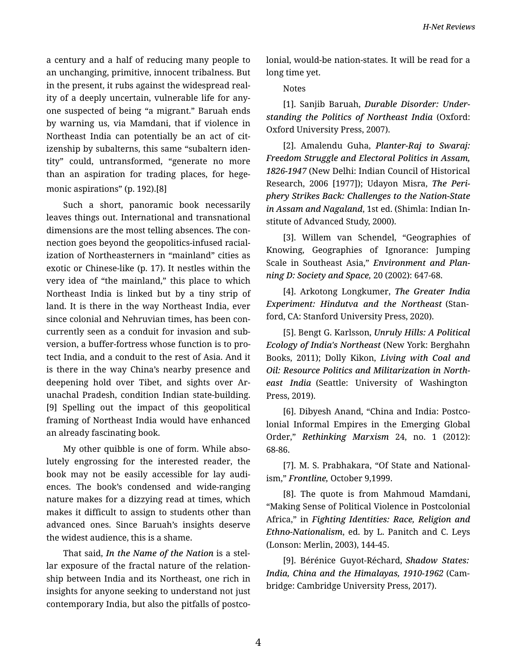a century and a half of reducing many people to an unchanging, primitive, innocent tribalness. But in the present, it rubs against the widespread real‐ ity of a deeply uncertain, vulnerable life for any‐ one suspected of being "a migrant." Baruah ends by warning us, via Mamdani, that if violence in Northeast India can potentially be an act of cit‐ izenship by subalterns, this same "subaltern iden‐ tity" could, untransformed, "generate no more than an aspiration for trading places, for hege‐ monic aspirations" (p. 192).[8]

Such a short, panoramic book necessarily leaves things out. International and transnational dimensions are the most telling absences. The con‐ nection goes beyond the geopolitics-infused racial‐ ization of Northeasterners in "mainland" cities as exotic or Chinese-like (p. 17). It nestles within the very idea of "the mainland," this place to which Northeast India is linked but by a tiny strip of land. It is there in the way Northeast India, ever since colonial and Nehruvian times, has been con‐ currently seen as a conduit for invasion and sub‐ version, a buffer-fortress whose function is to pro‐ tect India, and a conduit to the rest of Asia. And it is there in the way China's nearby presence and deepening hold over Tibet, and sights over Ar‐ unachal Pradesh, condition Indian state-building. [9] Spelling out the impact of this geopolitical framing of Northeast India would have enhanced an already fascinating book.

My other quibble is one of form. While abso‐ lutely engrossing for the interested reader, the book may not be easily accessible for lay audi‐ ences. The book's condensed and wide-ranging nature makes for a dizzying read at times, which makes it difficult to assign to students other than advanced ones. Since Baruah's insights deserve the widest audience, this is a shame.

That said, *In the Name of the Nation* is a stel‐ lar exposure of the fractal nature of the relation‐ ship between India and its Northeast, one rich in insights for anyone seeking to understand not just contemporary India, but also the pitfalls of postco‐ lonial, would-be nation-states. It will be read for a long time yet.

Notes

[1]. Sanjib Baruah, *Durable Disorder: Under‐ standing the Politics of Northeast India* (Oxford: Oxford University Press, 2007).

[2]. Amalendu Guha, *Planter-Raj to Swaraj: Freedom Struggle and Electoral Politics in Assam, 1826-1947* (New Delhi: Indian Council of Historical Research, 2006 [1977]); Udayon Misra, *The Peri‐ phery Strikes Back: Challenges to the Nation-State in Assam and Nagaland*, 1st ed. (Shimla: Indian In‐ stitute of Advanced Study, 2000).

[3]. Willem van Schendel, "Geographies of Knowing, Geographies of Ignorance: Jumping Scale in Southeast Asia," *Environment and Plan‐ ning D: Society and Space,* 20 (2002): 647-68.

[4]. Arkotong Longkumer, *The Greater India Experiment: Hindutva and the Northeast* (Stan‐ ford, CA: Stanford University Press, 2020).

[5]. Bengt G. Karlsson, *Unruly Hills: A Political Ecology of India's Northeast* (New York: Berghahn Books, 2011); Dolly Kikon, *Living with Coal and Oil: Resource Politics and Militarization in North‐ east India* (Seattle: University of Washington Press, 2019).

[6]. Dibyesh Anand, "China and India: Postco‐ lonial Informal Empires in the Emerging Global Order," *Rethinking Marxism* 24, no. 1 (2012): 68-86.

[7]. M. S. Prabhakara, "Of State and Nationalism," *Frontline,* October 9,1999.

[8]. The quote is from Mahmoud Mamdani, "Making Sense of Political Violence in Postcolonial Africa," in *Fighting Identities: Race, Religion and Ethno-Nationalism*, ed. by L. Panitch and C. Leys (Lonson: Merlin, 2003), 144-45.

[9]. Bérénice Guyot-Réchard, *Shadow States: India, China and the Himalayas, 1910-1962* (Cam‐ bridge: Cambridge University Press, 2017).